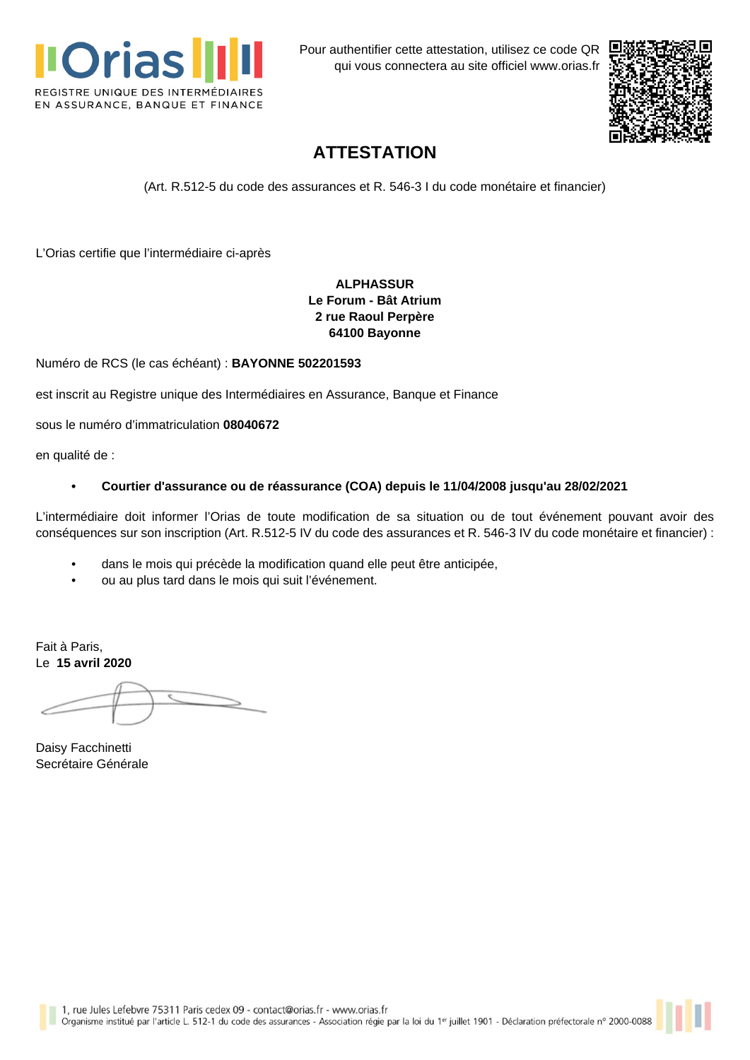

Pour authentifier cette attestation, utilisez ce code QR qui vous connectera au site officiel [www.orias.fr](https://www.orias.fr)



## **ATTESTATION**

(Art. R.512-5 du code des assurances et R. 546-3 I du code monétaire et financier)

L'Orias certifie que l'intermédiaire ci-après

## **ALPHASSUR Le Forum - Bât Atrium 2 rue Raoul Perpère 64100 Bayonne**

Numéro de RCS (le cas échéant) : **BAYONNE 502201593**

est inscrit au Registre unique des Intermédiaires en Assurance, Banque et Finance

sous le numéro d'immatriculation **08040672**

en qualité de :

### **• Courtier d'assurance ou de réassurance (COA) depuis le 11/04/2008 jusqu'au 28/02/2021**

L'intermédiaire doit informer l'Orias de toute modification de sa situation ou de tout événement pouvant avoir des conséquences sur son inscription (Art. R.512-5 IV du code des assurances et R. 546-3 IV du code monétaire et financier) :

- dans le mois qui précède la modification quand elle peut être anticipée,
- ou au plus tard dans le mois qui suit l'événement.

Fait à Paris, Le **15 avril 2020**

Daisy Facchinetti Secrétaire Générale